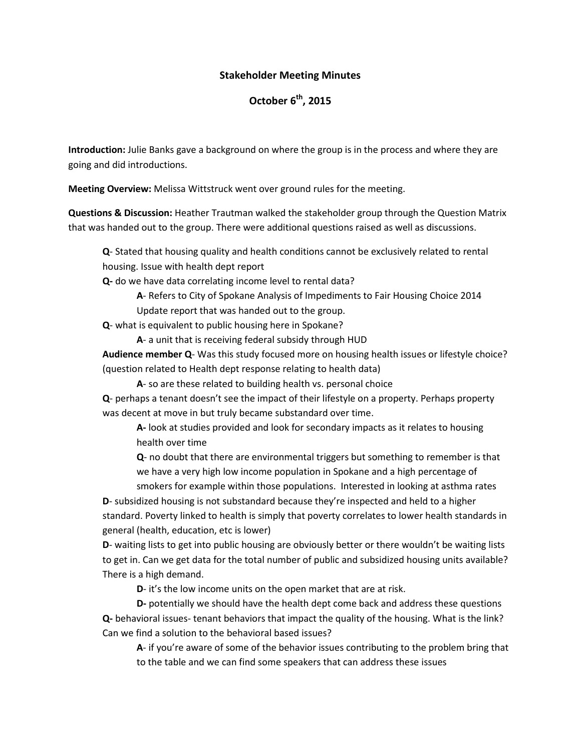## **Stakeholder Meeting Minutes**

## **October 6 th, 2015**

**Introduction:** Julie Banks gave a background on where the group is in the process and where they are going and did introductions.

**Meeting Overview:** Melissa Wittstruck went over ground rules for the meeting.

**Questions & Discussion:** Heather Trautman walked the stakeholder group through the Question Matrix that was handed out to the group. There were additional questions raised as well as discussions.

**Q**- Stated that housing quality and health conditions cannot be exclusively related to rental housing. Issue with health dept report

**Q-** do we have data correlating income level to rental data?

**A**- Refers to City of Spokane Analysis of Impediments to Fair Housing Choice 2014

Update report that was handed out to the group.

**Q**- what is equivalent to public housing here in Spokane?

**A**- a unit that is receiving federal subsidy through HUD

**Audience member Q**- Was this study focused more on housing health issues or lifestyle choice? (question related to Health dept response relating to health data)

**A**- so are these related to building health vs. personal choice

**Q**- perhaps a tenant doesn't see the impact of their lifestyle on a property. Perhaps property was decent at move in but truly became substandard over time.

**A-** look at studies provided and look for secondary impacts as it relates to housing health over time

**Q**- no doubt that there are environmental triggers but something to remember is that we have a very high low income population in Spokane and a high percentage of

smokers for example within those populations. Interested in looking at asthma rates **D**- subsidized housing is not substandard because they're inspected and held to a higher standard. Poverty linked to health is simply that poverty correlates to lower health standards in general (health, education, etc is lower)

**D**- waiting lists to get into public housing are obviously better or there wouldn't be waiting lists to get in. Can we get data for the total number of public and subsidized housing units available? There is a high demand.

**D**- it's the low income units on the open market that are at risk.

**D-** potentially we should have the health dept come back and address these questions **Q-** behavioral issues- tenant behaviors that impact the quality of the housing. What is the link? Can we find a solution to the behavioral based issues?

**A**- if you're aware of some of the behavior issues contributing to the problem bring that to the table and we can find some speakers that can address these issues